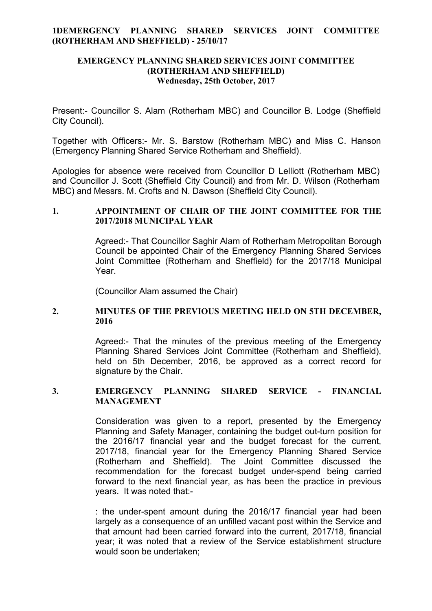## **1DEMERGENCY PLANNING SHARED SERVICES JOINT COMMITTEE (ROTHERHAM AND SHEFFIELD) - 25/10/17**

### **EMERGENCY PLANNING SHARED SERVICES JOINT COMMITTEE (ROTHERHAM AND SHEFFIELD) Wednesday, 25th October, 2017**

Present:- Councillor S. Alam (Rotherham MBC) and Councillor B. Lodge (Sheffield City Council).

Together with Officers:- Mr. S. Barstow (Rotherham MBC) and Miss C. Hanson (Emergency Planning Shared Service Rotherham and Sheffield).

Apologies for absence were received from Councillor D Lelliott (Rotherham MBC) and Councillor J. Scott (Sheffield City Council) and from Mr. D. Wilson (Rotherham MBC) and Messrs. M. Crofts and N. Dawson (Sheffield City Council).

# **1. APPOINTMENT OF CHAIR OF THE JOINT COMMITTEE FOR THE 2017/2018 MUNICIPAL YEAR**

Agreed:- That Councillor Saghir Alam of Rotherham Metropolitan Borough Council be appointed Chair of the Emergency Planning Shared Services Joint Committee (Rotherham and Sheffield) for the 2017/18 Municipal Year.

(Councillor Alam assumed the Chair)

## **2. MINUTES OF THE PREVIOUS MEETING HELD ON 5TH DECEMBER, 2016**

Agreed:- That the minutes of the previous meeting of the Emergency Planning Shared Services Joint Committee (Rotherham and Sheffield), held on 5th December, 2016, be approved as a correct record for signature by the Chair.

#### **3. EMERGENCY PLANNING SHARED SERVICE - FINANCIAL MANAGEMENT**

Consideration was given to a report, presented by the Emergency Planning and Safety Manager, containing the budget out-turn position for the 2016/17 financial year and the budget forecast for the current, 2017/18, financial year for the Emergency Planning Shared Service (Rotherham and Sheffield). The Joint Committee discussed the recommendation for the forecast budget under-spend being carried forward to the next financial year, as has been the practice in previous years. It was noted that:-

: the under-spent amount during the 2016/17 financial year had been largely as a consequence of an unfilled vacant post within the Service and that amount had been carried forward into the current, 2017/18, financial year; it was noted that a review of the Service establishment structure would soon be undertaken;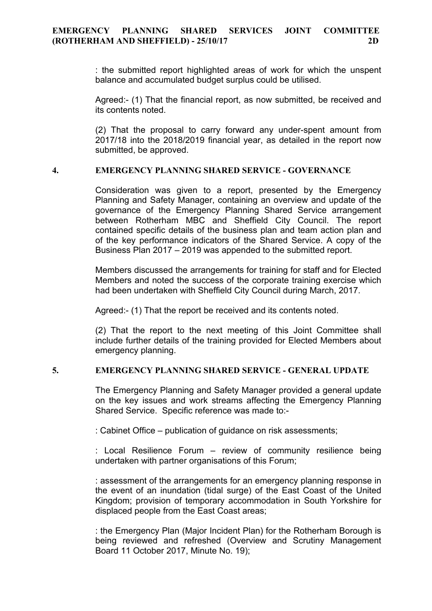: the submitted report highlighted areas of work for which the unspent balance and accumulated budget surplus could be utilised.

Agreed:- (1) That the financial report, as now submitted, be received and its contents noted.

(2) That the proposal to carry forward any under-spent amount from 2017/18 into the 2018/2019 financial year, as detailed in the report now submitted, be approved.

#### **4. EMERGENCY PLANNING SHARED SERVICE - GOVERNANCE**

Consideration was given to a report, presented by the Emergency Planning and Safety Manager, containing an overview and update of the governance of the Emergency Planning Shared Service arrangement between Rotherham MBC and Sheffield City Council. The report contained specific details of the business plan and team action plan and of the key performance indicators of the Shared Service. A copy of the Business Plan 2017 – 2019 was appended to the submitted report.

Members discussed the arrangements for training for staff and for Elected Members and noted the success of the corporate training exercise which had been undertaken with Sheffield City Council during March, 2017.

Agreed:- (1) That the report be received and its contents noted.

(2) That the report to the next meeting of this Joint Committee shall include further details of the training provided for Elected Members about emergency planning.

#### **5. EMERGENCY PLANNING SHARED SERVICE - GENERAL UPDATE**

The Emergency Planning and Safety Manager provided a general update on the key issues and work streams affecting the Emergency Planning Shared Service. Specific reference was made to:-

: Cabinet Office – publication of guidance on risk assessments;

: Local Resilience Forum – review of community resilience being undertaken with partner organisations of this Forum;

: assessment of the arrangements for an emergency planning response in the event of an inundation (tidal surge) of the East Coast of the United Kingdom; provision of temporary accommodation in South Yorkshire for displaced people from the East Coast areas;

: the Emergency Plan (Major Incident Plan) for the Rotherham Borough is being reviewed and refreshed (Overview and Scrutiny Management Board 11 October 2017, Minute No. 19);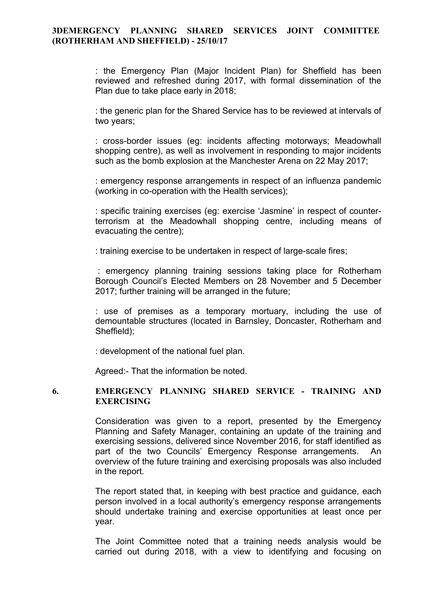### **3DEMERGENCY PLANNING SHARED SERVICES JOINT COMMITTEE (ROTHERHAM AND SHEFFIELD) - 25/10/17**

: the Emergency Plan (Major Incident Plan) for Sheffield has been reviewed and refreshed during 2017, with formal dissemination of the Plan due to take place early in 2018;

: the generic plan for the Shared Service has to be reviewed at intervals of two years;

: cross-border issues (eg: incidents affecting motorways; Meadowhall shopping centre), as well as involvement in responding to major incidents such as the bomb explosion at the Manchester Arena on 22 May 2017;

: emergency response arrangements in respect of an influenza pandemic (working in co-operation with the Health services);

: specific training exercises (eg: exercise 'Jasmine' in respect of counterterrorism at the Meadowhall shopping centre, including means of evacuating the centre);

: training exercise to be undertaken in respect of large-scale fires;

: emergency planning training sessions taking place for Rotherham Borough Council's Elected Members on 28 November and 5 December 2017; further training will be arranged in the future;

: use of premises as a temporary mortuary, including the use of demountable structures (located in Barnsley, Doncaster, Rotherham and Sheffield);

: development of the national fuel plan.

Agreed:- That the information be noted.

## **6. EMERGENCY PLANNING SHARED SERVICE - TRAINING AND EXERCISING**

Consideration was given to a report, presented by the Emergency Planning and Safety Manager, containing an update of the training and exercising sessions, delivered since November 2016, for staff identified as part of the two Councils' Emergency Response arrangements. An overview of the future training and exercising proposals was also included in the report.

The report stated that, in keeping with best practice and guidance, each person involved in a local authority's emergency response arrangements should undertake training and exercise opportunities at least once per year.

The Joint Committee noted that a training needs analysis would be carried out during 2018, with a view to identifying and focusing on